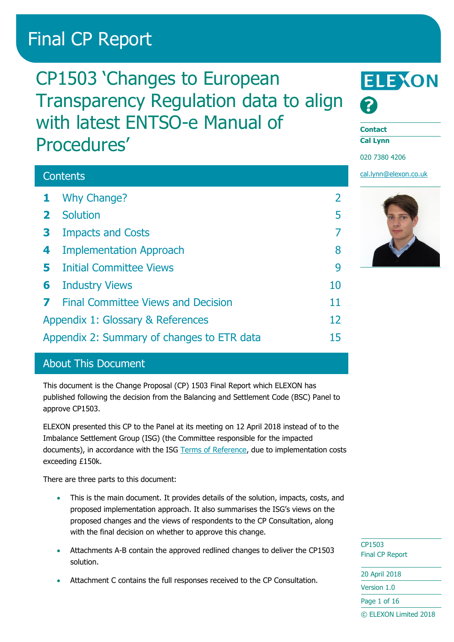# Final CP Report

CP1503 'Changes to European Transparency Regulation data to align with latest ENTSO-e Manual of Procedures'



**Contact Cal Lynn**

020 7380 4206

[cal.lynn@elexon.co.uk](mailto:cal.lynn@elexon.co.uk)



| <b>Contents</b> |                                                  |    |  |  |
|-----------------|--------------------------------------------------|----|--|--|
| 1.              | Why Change?                                      | 2  |  |  |
| $\mathbf{2}$    | Solution                                         | 5  |  |  |
| 3               | <b>Impacts and Costs</b>                         | 7  |  |  |
| 4               | <b>Implementation Approach</b>                   | 8  |  |  |
| 5               | <b>Initial Committee Views</b>                   | 9  |  |  |
| 6               | <b>Industry Views</b>                            | 10 |  |  |
|                 | <b>Final Committee Views and Decision</b>        | 11 |  |  |
|                 | 12<br>Appendix 1: Glossary & References          |    |  |  |
|                 | Appendix 2: Summary of changes to ETR data<br>15 |    |  |  |

### About This Document

This document is the Change Proposal (CP) 1503 Final Report which ELEXON has published following the decision from the Balancing and Settlement Code (BSC) Panel to approve CP1503.

ELEXON presented this CP to the Panel at its meeting on 12 April 2018 instead of to the Imbalance Settlement Group (ISG) (the Committee responsible for the impacted documents), in accordance with the ISG [Terms of Reference,](https://www.elexon.co.uk/group/imbalance-settlement-group-isg/) due to implementation costs exceeding £150k.

There are three parts to this document:

- This is the main document. It provides details of the solution, impacts, costs, and proposed implementation approach. It also summarises the ISG's views on the proposed changes and the views of respondents to the CP Consultation, along with the final decision on whether to approve this change.
- Attachments A-B contain the approved redlined changes to deliver the CP1503 solution.
- Attachment C contains the full responses received to the CP Consultation.

CP1503 Final CP Report

20 April 2018 Version 1.0 Page 1 of 16 © ELEXON Limited 2018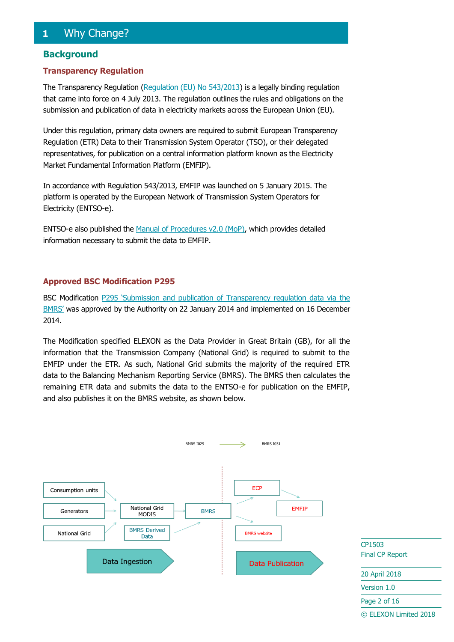### <span id="page-1-0"></span>**1** Why Change?

#### **Background**

#### **Transparency Regulation**

The Transparency Regulation [\(Regulation \(EU\) No 543/2013\)](http://eur-lex.europa.eu/LexUriServ/LexUriServ.do?uri=OJ:L:2013:163:0001:0012:EN:PDF) is a legally binding regulation that came into force on 4 July 2013. The regulation outlines the rules and obligations on the submission and publication of data in electricity markets across the European Union (EU).

Under this regulation, primary data owners are required to submit European Transparency Regulation (ETR) Data to their Transmission System Operator (TSO), or their delegated representatives, for publication on a central information platform known as the Electricity Market Fundamental Information Platform (EMFIP).

In accordance with Regulation 543/2013, EMFIP was launched on 5 January 2015. The platform is operated by the European Network of Transmission System Operators for Electricity (ENTSO-e).

ENTSO-e also published the [Manual of Procedures](https://www.entsoe.eu/data/entso-e-transparency-platform/Manual-of-Procedures/Pages/default.aspx) v2.0 (MoP), which provides detailed information necessary to submit the data to EMFIP.

#### **Approved BSC Modification P295**

BSC Modification [P295 'Submission and publication of Transparency regulation data via the](https://www.elexon.co.uk/mod-proposal/p295/)  [BMRS'](https://www.elexon.co.uk/mod-proposal/p295/) was approved by the Authority on 22 January 2014 and implemented on 16 December 2014.

The Modification specified ELEXON as the Data Provider in Great Britain (GB), for all the information that the Transmission Company (National Grid) is required to submit to the EMFIP under the ETR. As such, National Grid submits the majority of the required ETR data to the Balancing Mechanism Reporting Service (BMRS). The BMRS then calculates the remaining ETR data and submits the data to the ENTSO-e for publication on the EMFIP, and also publishes it on the BMRS website, as shown below.



CP1503 Final CP Report

20 April 2018

Version 1.0

Page 2 of 16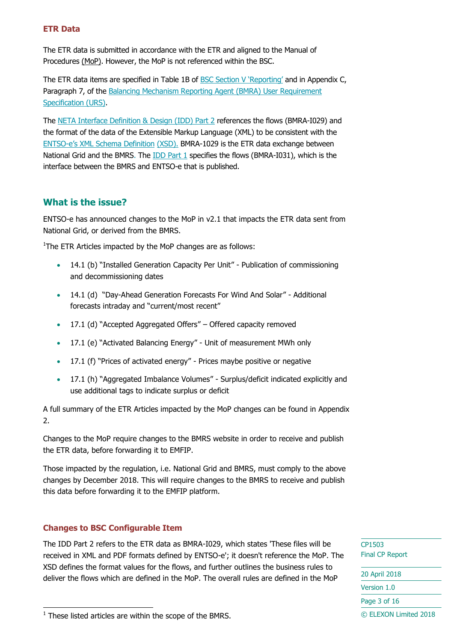#### **ETR Data**

The ETR data is submitted in accordance with the ETR and aligned to the Manual of Procedures (MoP). However, the MoP is not referenced within the BSC.

The ETR data items are specified in Table 1B of [BSC Section V 'Reporting'](https://www.elexon.co.uk/bsc-and-codes/balancing-settlement-code/bsc-sections/) and in Appendix C, Paragraph 7, of the [Balancing Mechanism Reporting Agent \(BMRA\) User Requirement](https://www.elexon.co.uk/bsc-and-codes/bsc-related-documents/user-requirement-specifications/)  [Specification \(URS\).](https://www.elexon.co.uk/bsc-and-codes/bsc-related-documents/user-requirement-specifications/)

The NETA [Interface Definition & Design \(IDD\)](https://www.elexon.co.uk/bsc-and-codes/bsc-related-documents/interface-definition-documents/) Part 2 references the flows (BMRA-I029) and the format of the data of the Extensible Markup Language (XML) to be consistent with the ENTSO-[e's XML Schema Definition](https://www.entsoe.eu/data/entso-e-transparency-platform/Data-Providers/Pages/default.aspx) [\(XSD\).](https://www.entsoe.eu/data/entso-e-transparency-platform/Data-Providers/Pages/default.aspx) BMRA-1029 is the ETR data exchange between National Grid and the BMRS. The [IDD Part 1](https://www.elexon.co.uk/bsc-and-codes/bsc-related-documents/interface-definition-documents/) specifies the flows (BMRA-I031), which is the interface between the BMRS and ENTSO-e that is published.

#### **What is the issue?**

ENTSO-e has announced changes to the MoP in v2.1 that impacts the ETR data sent from National Grid, or derived from the BMRS.

 $1$ The ETR Articles impacted by the MoP changes are as follows:

- 14.1 (b) "Installed Generation Capacity Per Unit" Publication of commissioning and decommissioning dates
- 14.1 (d) "Day-Ahead Generation Forecasts For Wind And Solar" Additional forecasts intraday and "current/most recent"
- 17.1 (d) "Accepted Aggregated Offers" Offered capacity removed
- 17.1 (e) "Activated Balancing Energy" Unit of measurement MWh only
- 17.1 (f) "Prices of activated energy" Prices maybe positive or negative
- 17.1 (h) "Aggregated Imbalance Volumes" Surplus/deficit indicated explicitly and use additional tags to indicate surplus or deficit

A full summary of the ETR Articles impacted by the MoP changes can be found in Appendix 2.

Changes to the MoP require changes to the BMRS website in order to receive and publish the ETR data, before forwarding it to EMFIP.

Those impacted by the regulation, i.e. National Grid and BMRS, must comply to the above changes by December 2018. This will require changes to the BMRS to receive and publish this data before forwarding it to the EMFIP platform.

#### **Changes to BSC Configurable Item**

The IDD Part 2 refers to the ETR data as BMRA-I029, which states 'These files will be received in XML and PDF formats defined by ENTSO-e'; it doesn't reference the MoP. The XSD defines the format values for the flows, and further outlines the business rules to deliver the flows which are defined in the MoP. The overall rules are defined in the MoP

CP1503 Final CP Report 20 April 2018

Version 1.0 Page 3 of 16

<sup>-</sup> $1$  These listed articles are within the scope of the BMRS.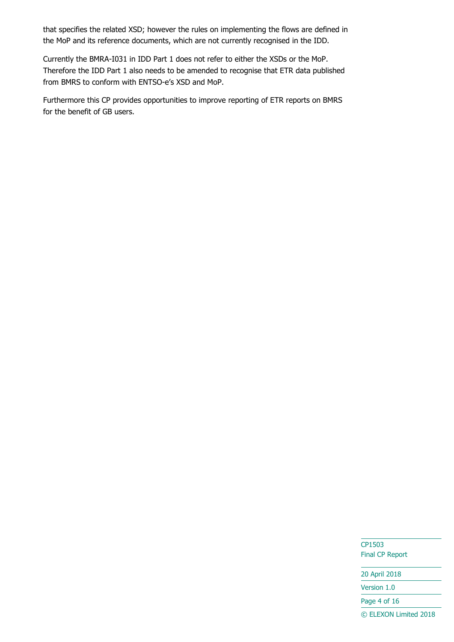that specifies the related XSD; however the rules on implementing the flows are defined in the MoP and its reference documents, which are not currently recognised in the IDD.

Currently the BMRA-I031 in IDD Part 1 does not refer to either the XSDs or the MoP. Therefore the IDD Part 1 also needs to be amended to recognise that ETR data published from BMRS to conform with ENTSO-e's XSD and MoP.

Furthermore this CP provides opportunities to improve reporting of ETR reports on BMRS for the benefit of GB users.

> CP1503 Final CP Report

20 April 2018

Version 1.0

Page 4 of 16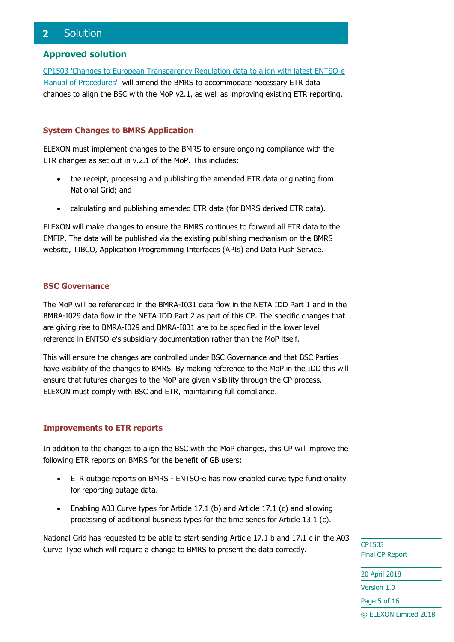### <span id="page-4-0"></span>**2** Solution

#### **Approved solution**

[CP1503 'Changes to European Transparency Regulation](https://www.elexon.co.uk/change-proposal/cp1503/) data to align with latest ENTSO-e [Manual of Procedures'](https://www.elexon.co.uk/change-proposal/cp1503/) will amend the BMRS to accommodate necessary ETR data changes to align the BSC with the MoP v2.1, as well as improving existing ETR reporting.

#### **System Changes to BMRS Application**

ELEXON must implement changes to the BMRS to ensure ongoing compliance with the ETR changes as set out in v.2.1 of the MoP. This includes:

- the receipt, processing and publishing the amended ETR data originating from National Grid; and
- calculating and publishing amended ETR data (for BMRS derived ETR data).

ELEXON will make changes to ensure the BMRS continues to forward all ETR data to the EMFIP. The data will be published via the existing publishing mechanism on the BMRS website, TIBCO, Application Programming Interfaces (APIs) and Data Push Service.

#### **BSC Governance**

The MoP will be referenced in the BMRA-I031 data flow in the NETA IDD Part 1 and in the BMRA-I029 data flow in the NETA IDD Part 2 as part of this CP. The specific changes that are giving rise to BMRA-I029 and BMRA-I031 are to be specified in the lower level reference in ENTSO-e's subsidiary documentation rather than the MoP itself.

This will ensure the changes are controlled under BSC Governance and that BSC Parties have visibility of the changes to BMRS. By making reference to the MoP in the IDD this will ensure that futures changes to the MoP are given visibility through the CP process. ELEXON must comply with BSC and ETR, maintaining full compliance.

#### **Improvements to ETR reports**

In addition to the changes to align the BSC with the MoP changes, this CP will improve the following ETR reports on BMRS for the benefit of GB users:

- ETR outage reports on BMRS ENTSO-e has now enabled curve type functionality for reporting outage data.
- Enabling A03 Curve types for Article 17.1 (b) and Article 17.1 (c) and allowing processing of additional business types for the time series for Article 13.1 (c).

National Grid has requested to be able to start sending Article 17.1 b and 17.1 c in the A03 Curve Type which will require a change to BMRS to present the data correctly.

CP1503 Final CP Report 20 April 2018 Version 1.0

Page 5 of 16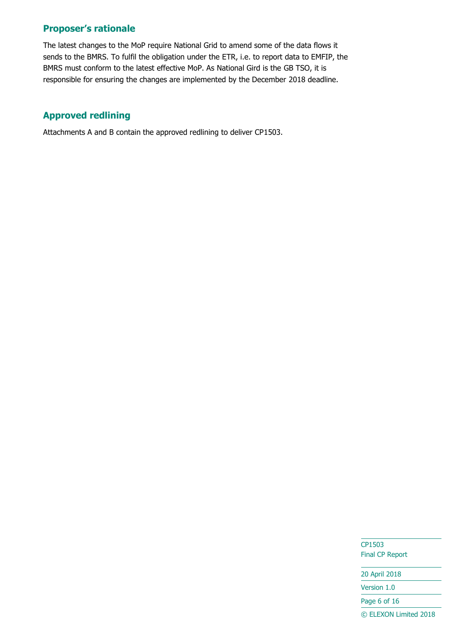### **Proposer's rationale**

The latest changes to the MoP require National Grid to amend some of the data flows it sends to the BMRS. To fulfil the obligation under the ETR, i.e. to report data to EMFIP, the BMRS must conform to the latest effective MoP. As National Gird is the GB TSO, it is responsible for ensuring the changes are implemented by the December 2018 deadline.

### **Approved redlining**

Attachments A and B contain the approved redlining to deliver CP1503.

CP1503 Final CP Report

20 April 2018

Version 1.0

Page 6 of 16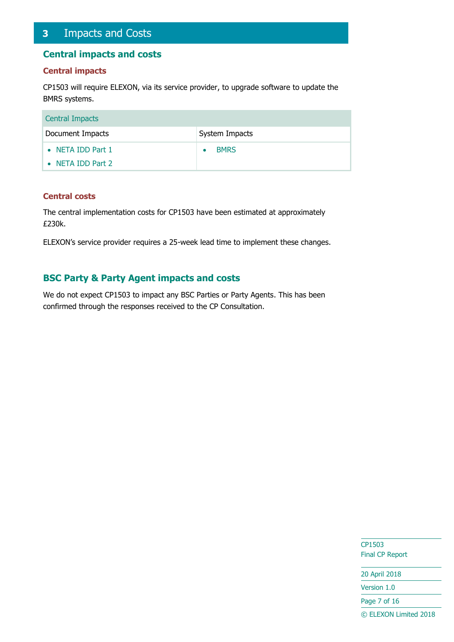### <span id="page-6-0"></span>**3** Impacts and Costs

#### **Central impacts and costs**

#### **Central impacts**

CP1503 will require ELEXON, via its service provider, to upgrade software to update the BMRS systems.

| <b>Central Impacts</b> |                |  |  |  |
|------------------------|----------------|--|--|--|
| Document Impacts       | System Impacts |  |  |  |
| • NETA IDD Part 1      | <b>BMRS</b>    |  |  |  |
| • NETA IDD Part 2      |                |  |  |  |

#### **Central costs**

The central implementation costs for CP1503 have been estimated at approximately £230k.

ELEXON's service provider requires a 25-week lead time to implement these changes.

#### **BSC Party & Party Agent impacts and costs**

We do not expect CP1503 to impact any BSC Parties or Party Agents. This has been confirmed through the responses received to the CP Consultation.

> CP1503 Final CP Report

> 20 April 2018

Version 1.0

Page 7 of 16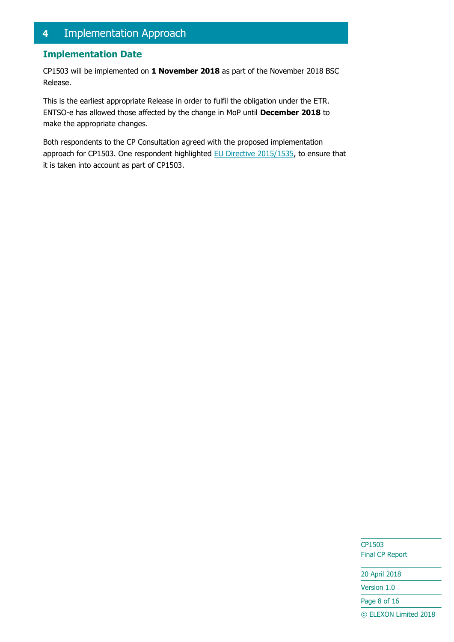#### <span id="page-7-0"></span>**Implementation Date**

CP1503 will be implemented on **1 November 2018** as part of the November 2018 BSC Release.

This is the earliest appropriate Release in order to fulfil the obligation under the ETR. ENTSO-e has allowed those affected by the change in MoP until **December 2018** to make the appropriate changes.

Both respondents to the CP Consultation agreed with the proposed implementation approach for CP1503. One respondent highlighted [EU Directive 2015/1535,](https://www.gov.uk/government/publications/technical-standards-and-regulations-directive-9834ec-guidance-for-officials) to ensure that it is taken into account as part of CP1503.

> CP1503 Final CP Report

20 April 2018

Version 1.0

Page 8 of 16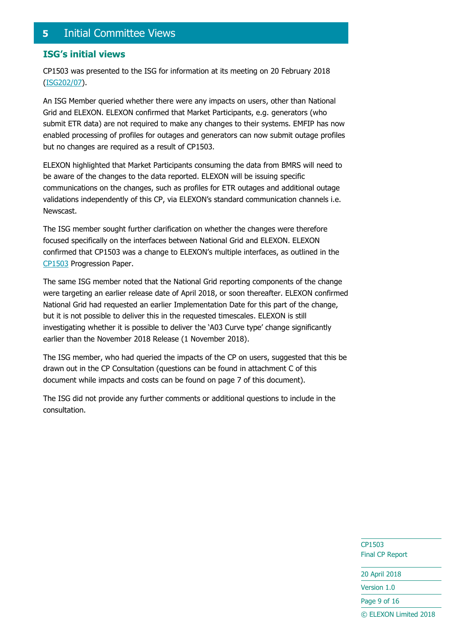### <span id="page-8-0"></span>**5** Initial Committee Views

#### **ISG's initial views**

CP1503 was presented to the ISG for information at its meeting on 20 February 2018 [\(ISG202/07\)](https://www.elexon.co.uk/group/imbalance-settlement-group-isg/).

An ISG Member queried whether there were any impacts on users, other than National Grid and ELEXON. ELEXON confirmed that Market Participants, e.g. generators (who submit ETR data) are not required to make any changes to their systems. EMFIP has now enabled processing of profiles for outages and generators can now submit outage profiles but no changes are required as a result of CP1503.

ELEXON highlighted that Market Participants consuming the data from BMRS will need to be aware of the changes to the data reported. ELEXON will be issuing specific communications on the changes, such as profiles for ETR outages and additional outage validations independently of this CP, via ELEXON's standard communication channels i.e. Newscast.

The ISG member sought further clarification on whether the changes were therefore focused specifically on the interfaces between National Grid and ELEXON. ELEXON confirmed that CP1503 was a change to ELEXON's multiple interfaces, as outlined in the [CP1503](https://www.elexon.co.uk/change-proposal/cp1503/) Progression Paper.

The same ISG member noted that the National Grid reporting components of the change were targeting an earlier release date of April 2018, or soon thereafter. ELEXON confirmed National Grid had requested an earlier Implementation Date for this part of the change, but it is not possible to deliver this in the requested timescales. ELEXON is still investigating whether it is possible to deliver the 'A03 Curve type' change significantly earlier than the November 2018 Release (1 November 2018).

The ISG member, who had queried the impacts of the CP on users, suggested that this be drawn out in the CP Consultation (questions can be found in attachment C of this document while impacts and costs can be found on page 7 of this document).

The ISG did not provide any further comments or additional questions to include in the consultation.

> CP1503 Final CP Report

20 April 2018

Version 1.0

Page 9 of 16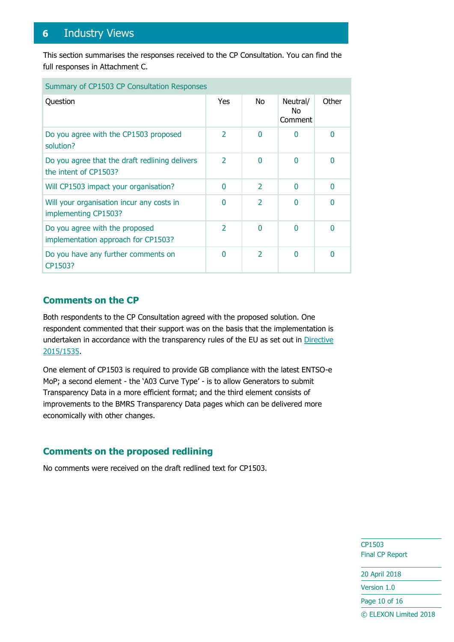### <span id="page-9-0"></span>**6** Industry Views

This section summarises the responses received to the CP Consultation. You can find the full responses in Attachment C.

| Summary of CP1503 CP Consultation Responses                             |                |                          |                            |          |  |
|-------------------------------------------------------------------------|----------------|--------------------------|----------------------------|----------|--|
| Question                                                                | Yes            | No.                      | Neutral/<br>No.<br>Comment | Other    |  |
| Do you agree with the CP1503 proposed<br>solution?                      | $\overline{2}$ | $\Omega$                 | 0                          | 0        |  |
| Do you agree that the draft redlining delivers<br>the intent of CP1503? | $\mathcal{P}$  | $\Omega$                 | 0                          | 0        |  |
| Will CP1503 impact your organisation?                                   | 0              | $\mathcal{P}$            | 0                          | $\Omega$ |  |
| Will your organisation incur any costs in<br>implementing CP1503?       | 0              | $\overline{\phantom{a}}$ | n                          | 0        |  |
| Do you agree with the proposed<br>implementation approach for CP1503?   | $\overline{2}$ | U                        | 0                          | $\Omega$ |  |
| Do you have any further comments on<br>CP1503?                          | 0              | $\mathcal{P}$            | 0                          | 0        |  |

#### **Comments on the CP**

Both respondents to the CP Consultation agreed with the proposed solution. One respondent commented that their support was on the basis that the implementation is undertaken in accordance with the transparency rules of the EU as set out in Directive [2015/1535.](https://www.gov.uk/government/publications/technical-standards-and-regulations-directive-9834ec-guidance-for-officials)

One element of CP1503 is required to provide GB compliance with the latest ENTSO-e MoP; a second element - the 'A03 Curve Type' - is to allow Generators to submit Transparency Data in a more efficient format; and the third element consists of improvements to the BMRS Transparency Data pages which can be delivered more economically with other changes.

#### **Comments on the proposed redlining**

No comments were received on the draft redlined text for CP1503.

CP1503 Final CP Report

20 April 2018

Version 1.0

Page 10 of 16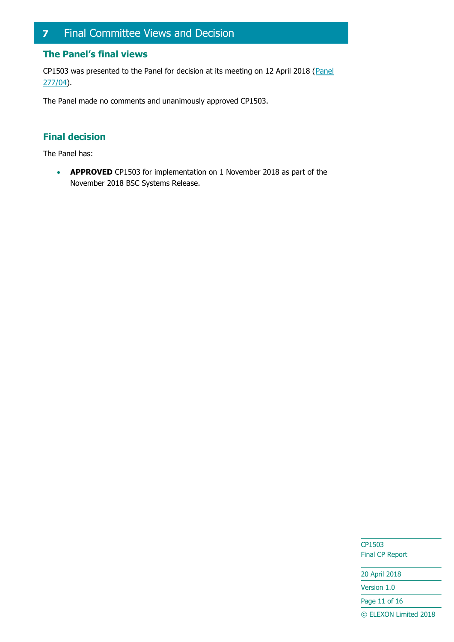### <span id="page-10-0"></span>**7** Final Committee Views and Decision

#### **The Panel's final views**

CP1503 was presented to the Panel for decision at its meeting on 12 April 2018 (Panel [277/04\)](https://www.elexon.co.uk/meeting/bsc-panel-meeting-277/).

The Panel made no comments and unanimously approved CP1503.

### **Final decision**

The Panel has:

**APPROVED** CP1503 for implementation on 1 November 2018 as part of the November 2018 BSC Systems Release.

> CP1503 Final CP Report

20 April 2018

Version 1.0

Page 11 of 16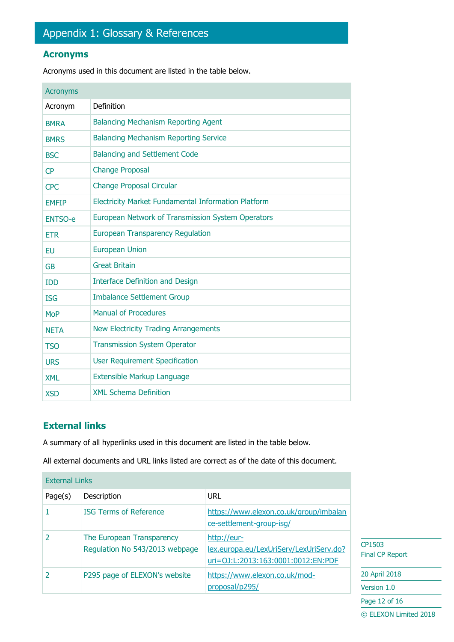#### <span id="page-11-0"></span>**Acronyms**

Acronyms used in this document are listed in the table below.

| <b>Acronyms</b> |                                                            |
|-----------------|------------------------------------------------------------|
| Acronym         | Definition                                                 |
| <b>BMRA</b>     | <b>Balancing Mechanism Reporting Agent</b>                 |
| <b>BMRS</b>     | <b>Balancing Mechanism Reporting Service</b>               |
| <b>BSC</b>      | <b>Balancing and Settlement Code</b>                       |
| CP              | <b>Change Proposal</b>                                     |
| <b>CPC</b>      | <b>Change Proposal Circular</b>                            |
| <b>EMFIP</b>    | <b>Electricity Market Fundamental Information Platform</b> |
| <b>ENTSO-e</b>  | European Network of Transmission System Operators          |
| <b>ETR</b>      | <b>European Transparency Regulation</b>                    |
| <b>FU</b>       | <b>European Union</b>                                      |
| <b>GB</b>       | <b>Great Britain</b>                                       |
| <b>IDD</b>      | <b>Interface Definition and Design</b>                     |
| <b>ISG</b>      | <b>Imbalance Settlement Group</b>                          |
| <b>MoP</b>      | <b>Manual of Procedures</b>                                |
| <b>NETA</b>     | <b>New Electricity Trading Arrangements</b>                |
| <b>TSO</b>      | <b>Transmission System Operator</b>                        |
| <b>URS</b>      | <b>User Requirement Specification</b>                      |
| <b>XML</b>      | Extensible Markup Language                                 |
| <b>XSD</b>      | <b>XML Schema Definition</b>                               |

### **External links**

Ė

A summary of all hyperlinks used in this document are listed in the table below.

All external documents and URL links listed are correct as of the date of this document.

| <b>External Links</b> |                                                             |                                                                                              |  |  |
|-----------------------|-------------------------------------------------------------|----------------------------------------------------------------------------------------------|--|--|
| Page(s)               | Description                                                 | URL                                                                                          |  |  |
|                       | <b>ISG Terms of Reference</b>                               | https://www.elexon.co.uk/group/imbalan<br>ce-settlement-group-isg/                           |  |  |
|                       | The European Transparency<br>Regulation No 543/2013 webpage | http://eur-<br>lex.europa.eu/LexUriServ/LexUriServ.do?<br>uri=0J:L:2013:163:0001:0012:EN:PDF |  |  |
|                       | P295 page of ELEXON's website                               | https://www.elexon.co.uk/mod-<br>proposal/p295/                                              |  |  |

CP1503 Final CP Report

20 April 2018

Version 1.0

Page 12 of 16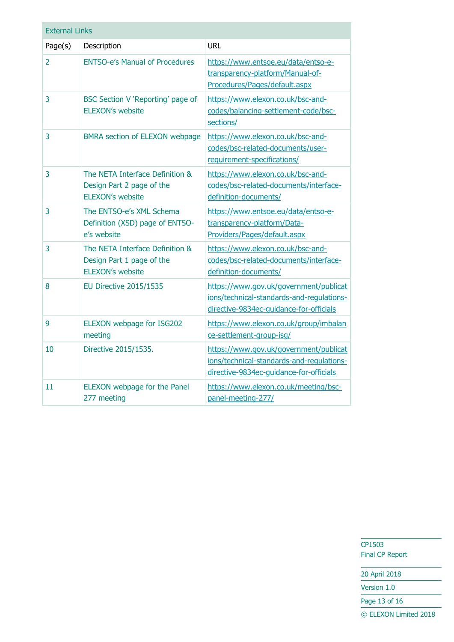| <b>External Links</b> |                                                                                         |                                                                                                                                |  |  |
|-----------------------|-----------------------------------------------------------------------------------------|--------------------------------------------------------------------------------------------------------------------------------|--|--|
| Page(s)               | Description                                                                             | <b>URL</b>                                                                                                                     |  |  |
| $\overline{2}$        | <b>ENTSO-e's Manual of Procedures</b>                                                   | https://www.entsoe.eu/data/entso-e-<br>transparency-platform/Manual-of-<br>Procedures/Pages/default.aspx                       |  |  |
| 3                     | BSC Section V 'Reporting' page of<br><b>ELEXON's website</b>                            | https://www.elexon.co.uk/bsc-and-<br>codes/balancing-settlement-code/bsc-<br>sections/                                         |  |  |
| 3                     | BMRA section of ELEXON webpage                                                          | https://www.elexon.co.uk/bsc-and-<br>codes/bsc-related-documents/user-<br>requirement-specifications/                          |  |  |
| 3                     | The NETA Interface Definition &<br>Design Part 2 page of the<br><b>ELEXON's website</b> | https://www.elexon.co.uk/bsc-and-<br>codes/bsc-related-documents/interface-<br>definition-documents/                           |  |  |
| 3                     | The ENTSO-e's XML Schema<br>Definition (XSD) page of ENTSO-<br>e's website              | https://www.entsoe.eu/data/entso-e-<br>transparency-platform/Data-<br>Providers/Pages/default.aspx                             |  |  |
| 3                     | The NETA Interface Definition &<br>Design Part 1 page of the<br><b>ELEXON's website</b> | https://www.elexon.co.uk/bsc-and-<br>codes/bsc-related-documents/interface-<br>definition-documents/                           |  |  |
| 8                     | <b>EU Directive 2015/1535</b>                                                           | https://www.gov.uk/government/publicat<br>ions/technical-standards-and-requlations-<br>directive-9834ec-quidance-for-officials |  |  |
| 9                     | ELEXON webpage for ISG202<br>meeting                                                    | https://www.elexon.co.uk/group/imbalan<br>ce-settlement-group-isg/                                                             |  |  |
| 10                    | Directive 2015/1535.                                                                    | https://www.gov.uk/government/publicat<br>ions/technical-standards-and-regulations-<br>directive-9834ec-quidance-for-officials |  |  |
| 11                    | ELEXON webpage for the Panel<br>277 meeting                                             | https://www.elexon.co.uk/meeting/bsc-<br>panel-meeting-277/                                                                    |  |  |

CP1503 Final CP Report

20 April 2018

Version 1.0

Page 13 of 16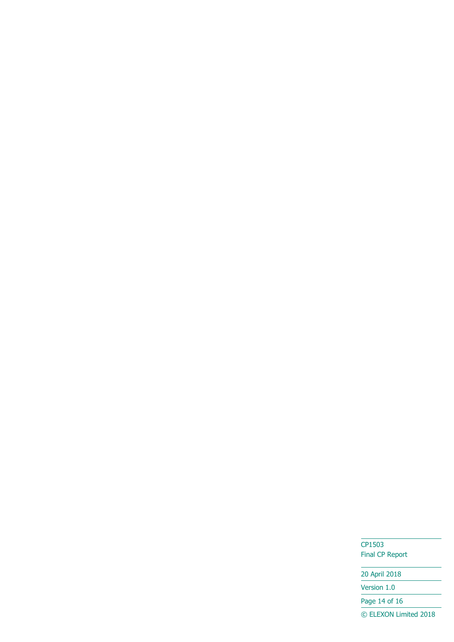Version 1.0 Page 14 of 16

© ELEXON Limited 2018

CP1503

Final CP Report

20 April 2018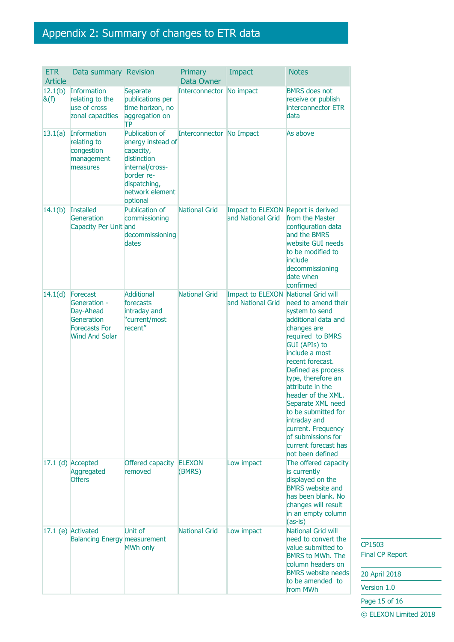## <span id="page-14-0"></span>Appendix 2: Summary of changes to ETR data

| <b>ETR</b><br><b>Article</b> | Data summary Revision                                                                                |                                                                                                                                                 | Primary<br>Data Owner    | Impact                                                   | <b>Notes</b>                                                                                                                                                                                                                                                                                                                                                                                     |
|------------------------------|------------------------------------------------------------------------------------------------------|-------------------------------------------------------------------------------------------------------------------------------------------------|--------------------------|----------------------------------------------------------|--------------------------------------------------------------------------------------------------------------------------------------------------------------------------------------------------------------------------------------------------------------------------------------------------------------------------------------------------------------------------------------------------|
| 12.1(b)<br>&(f)              | Information<br>relating to the<br>use of cross<br>zonal capacities                                   | Separate<br>publications per<br>time horizon, no<br>aggregation on<br>TP                                                                        | Interconnector No impact |                                                          | <b>BMRS</b> does not<br>receive or publish<br>interconnector ETR<br>data                                                                                                                                                                                                                                                                                                                         |
| 13.1(a)                      | Information<br>relating to<br>congestion<br>management<br>measures                                   | Publication of<br>energy instead of<br>capacity,<br>distinction<br>internal/cross-<br>border re-<br>dispatching,<br>network element<br>optional | Interconnector No Impact |                                                          | As above                                                                                                                                                                                                                                                                                                                                                                                         |
| 14.1(b)                      | <b>Installed</b><br>Generation<br>Capacity Per Unit and                                              | Publication of<br>commissioning<br>decommissioning<br>dates                                                                                     | <b>National Grid</b>     | Impact to ELEXON Report is derived<br>and National Grid  | from the Master<br>configuration data<br>and the BMRS<br>website GUI needs<br>to be modified to<br>include<br>decommissioning<br>date when<br>confirmed                                                                                                                                                                                                                                          |
| 14.1(d)                      | Forecast<br>Generation -<br>Day-Ahead<br>Generation<br><b>Forecasts For</b><br><b>Wind And Solar</b> | <b>Additional</b><br>forecasts<br>intraday and<br>"current/most<br>recent"                                                                      | <b>National Grid</b>     | Impact to ELEXON National Grid will<br>and National Grid | need to amend their<br>system to send<br>additional data and<br>changes are<br>required to BMRS<br>GUI (APIs) to<br>include a most<br>recent forecast.<br>Defined as process<br>type, therefore an<br>attribute in the<br>header of the XML.<br>Separate XML need<br>to be submitted for<br>intraday and<br>current. Frequency<br>of submissions for<br>current forecast has<br>not been defined |
|                              | 17.1 (d) Accepted<br>Aggregated<br><b>Offers</b>                                                     | Offered capacity ELEXON<br>removed                                                                                                              | (BMRS)                   | Low impact                                               | The offered capacity<br>is currently<br>displayed on the<br><b>BMRS</b> website and<br>has been blank. No<br>changes will result<br>in an empty column<br>$(as-is)$                                                                                                                                                                                                                              |
|                              | 17.1 (e) Activated<br><b>Balancing Energy measurement</b>                                            | Unit of<br>MWh only                                                                                                                             | <b>National Grid</b>     | Low impact                                               | National Grid will<br>need to convert the<br>value submitted to<br><b>BMRS to MWh. The</b><br>column headers on<br><b>BMRS</b> website needs<br>to be amended to<br>from MWh                                                                                                                                                                                                                     |

CP1503 Final CP Report

20 April 2018

Version 1.0

Page 15 of 16